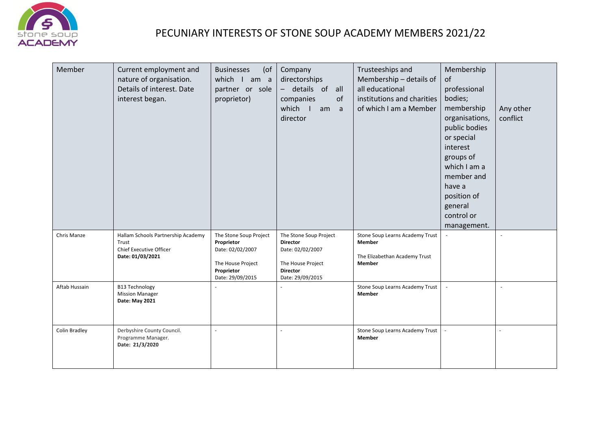

## PECUNIARY INTERESTS OF STONE SOUP ACADEMY MEMBERS 2021/22

| Member        | Current employment and<br>nature of organisation.<br>Details of interest. Date<br>interest began. | <b>Businesses</b><br>$($ of<br>which I am a<br>partner or sole<br>proprietor)                                   | Company<br>directorships<br>- details of all<br>companies<br>of<br>which I<br>am a<br>director                            | Trusteeships and<br>Membership - details of<br>all educational<br>institutions and charities<br>of which I am a Member | Membership<br>of<br>professional<br>bodies;<br>membership<br>organisations,<br>public bodies<br>or special<br>interest<br>groups of<br>which I am a<br>member and<br>have a<br>position of<br>general<br>control or<br>management. | Any other<br>conflict |
|---------------|---------------------------------------------------------------------------------------------------|-----------------------------------------------------------------------------------------------------------------|---------------------------------------------------------------------------------------------------------------------------|------------------------------------------------------------------------------------------------------------------------|------------------------------------------------------------------------------------------------------------------------------------------------------------------------------------------------------------------------------------|-----------------------|
| Chris Manze   | Hallam Schools Partnership Academy<br>Trust<br><b>Chief Executive Officer</b><br>Date: 01/03/2021 | The Stone Soup Project<br>Proprietor<br>Date: 02/02/2007<br>The House Project<br>Proprietor<br>Date: 29/09/2015 | The Stone Soup Project<br><b>Director</b><br>Date: 02/02/2007<br>The House Project<br><b>Director</b><br>Date: 29/09/2015 | Stone Soup Learns Academy Trust<br><b>Member</b><br>The Elizabethan Academy Trust<br>Member                            |                                                                                                                                                                                                                                    |                       |
| Aftab Hussain | <b>B13 Technology</b><br><b>Mission Manager</b><br>Date: May 2021                                 |                                                                                                                 |                                                                                                                           | Stone Soup Learns Academy Trust<br>Member                                                                              |                                                                                                                                                                                                                                    |                       |
| Colin Bradley | Derbyshire County Council.<br>Programme Manager.<br>Date: 21/3/2020                               |                                                                                                                 |                                                                                                                           | Stone Soup Learns Academy Trust<br>Member                                                                              |                                                                                                                                                                                                                                    |                       |